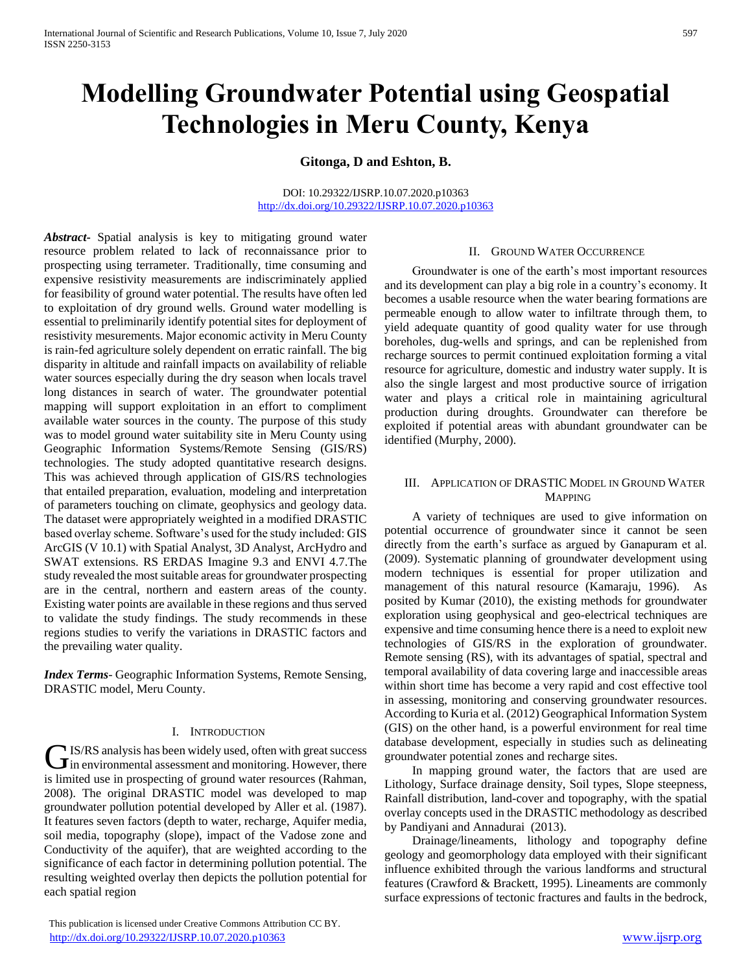# **Modelling Groundwater Potential using Geospatial Technologies in Meru County, Kenya**

**Gitonga, D and Eshton, B.** 

#### DOI: 10.29322/IJSRP.10.07.2020.p10363 <http://dx.doi.org/10.29322/IJSRP.10.07.2020.p10363>

*Abstract***-** Spatial analysis is key to mitigating ground water resource problem related to lack of reconnaissance prior to prospecting using terrameter. Traditionally, time consuming and expensive resistivity measurements are indiscriminately applied for feasibility of ground water potential. The results have often led to exploitation of dry ground wells. Ground water modelling is essential to preliminarily identify potential sites for deployment of resistivity mesurements. Major economic activity in Meru County is rain-fed agriculture solely dependent on erratic rainfall. The big disparity in altitude and rainfall impacts on availability of reliable water sources especially during the dry season when locals travel long distances in search of water. The groundwater potential mapping will support exploitation in an effort to compliment available water sources in the county. The purpose of this study was to model ground water suitability site in Meru County using Geographic Information Systems/Remote Sensing (GIS/RS) technologies. The study adopted quantitative research designs. This was achieved through application of GIS/RS technologies that entailed preparation, evaluation, modeling and interpretation of parameters touching on climate, geophysics and geology data. The dataset were appropriately weighted in a modified DRASTIC based overlay scheme. Software's used for the study included: GIS ArcGIS (V 10.1) with Spatial Analyst, 3D Analyst, ArcHydro and SWAT extensions. RS ERDAS Imagine 9.3 and ENVI 4.7.The study revealed the most suitable areas for groundwater prospecting are in the central, northern and eastern areas of the county. Existing water points are available in these regions and thus served to validate the study findings. The study recommends in these regions studies to verify the variations in DRASTIC factors and the prevailing water quality.

*Index Terms*- Geographic Information Systems, Remote Sensing, DRASTIC model, Meru County.

### I. INTRODUCTION

**IS/RS** analysis has been widely used, often with great success GIS/RS analysis has been widely used, often with great success<br>in environmental assessment and monitoring. However, there is limited use in prospecting of ground water resources (Rahman, 2008). The original DRASTIC model was developed to map groundwater pollution potential developed by Aller et al. (1987). It features seven factors (depth to water, recharge, Aquifer media, soil media, topography (slope), impact of the Vadose zone and Conductivity of the aquifer), that are weighted according to the significance of each factor in determining pollution potential. The resulting weighted overlay then depicts the pollution potential for each spatial region

# II. GROUND WATER OCCURRENCE

 Groundwater is one of the earth's most important resources and its development can play a big role in a country's economy. It becomes a usable resource when the water bearing formations are permeable enough to allow water to infiltrate through them, to yield adequate quantity of good quality water for use through boreholes, dug-wells and springs, and can be replenished from recharge sources to permit continued exploitation forming a vital resource for agriculture, domestic and industry water supply. It is also the single largest and most productive source of irrigation water and plays a critical role in maintaining agricultural production during droughts. Groundwater can therefore be exploited if potential areas with abundant groundwater can be identified (Murphy, 2000).

### III. APPLICATION OF DRASTIC MODEL IN GROUND WATER MAPPING

 A variety of techniques are used to give information on potential occurrence of groundwater since it cannot be seen directly from the earth's surface as argued by Ganapuram et al. (2009). Systematic planning of groundwater development using modern techniques is essential for proper utilization and management of this natural resource (Kamaraju, 1996). As posited by Kumar (2010), the existing methods for groundwater exploration using geophysical and geo-electrical techniques are expensive and time consuming hence there is a need to exploit new technologies of GIS/RS in the exploration of groundwater. Remote sensing (RS), with its advantages of spatial, spectral and temporal availability of data covering large and inaccessible areas within short time has become a very rapid and cost effective tool in assessing, monitoring and conserving groundwater resources. According to Kuria et al. (2012) Geographical Information System (GIS) on the other hand, is a powerful environment for real time database development, especially in studies such as delineating groundwater potential zones and recharge sites.

 In mapping ground water, the factors that are used are Lithology, Surface drainage density, Soil types, Slope steepness, Rainfall distribution, land-cover and topography, with the spatial overlay concepts used in the DRASTIC methodology as described by Pandiyani and Annadurai (2013).

 Drainage/lineaments, lithology and topography define geology and geomorphology data employed with their significant influence exhibited through the various landforms and structural features (Crawford & Brackett, 1995). Lineaments are commonly surface expressions of tectonic fractures and faults in the bedrock,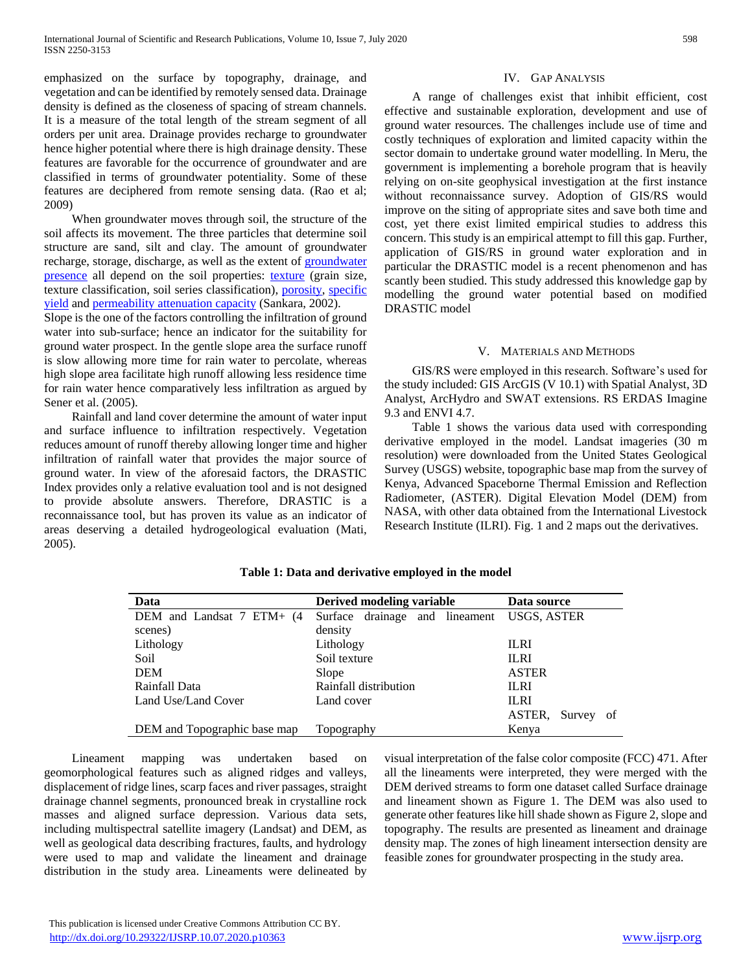emphasized on the surface by topography, drainage, and vegetation and can be identified by remotely sensed data. Drainage density is defined as the closeness of spacing of stream channels. It is a measure of the total length of the stream segment of all orders per unit area. Drainage provides recharge to groundwater hence higher potential where there is high drainage density. These features are favorable for the occurrence of groundwater and are classified in terms of groundwater potentiality. Some of these features are deciphered from remote sensing data. (Rao et al; 2009)

 When groundwater moves through soil, the structure of the soil affects its movement. The three particles that determine soil structure are sand, silt and clay. The amount of groundwater recharge, storage, discharge, as well as the extent of [groundwater](http://www.co.portage.wi.us/groundwater/undrstnd/gwcontam.htm)  [presence](http://www.co.portage.wi.us/groundwater/undrstnd/gwcontam.htm) all depend on the soil properties: [texture](http://www.co.portage.wi.us/groundwater/undrstnd/soil.htm#Soil%20Texture) (grain size, texture classification, soil series classification), [porosity,](http://www.co.portage.wi.us/groundwater/undrstnd/soil.htm#Porosity) [specific](http://www.co.portage.wi.us/groundwater/undrstnd/soil.htm#Specific%20Yield)  [yield](http://www.co.portage.wi.us/groundwater/undrstnd/soil.htm#Specific%20Yield) and [permeability](http://www.co.portage.wi.us/groundwater/undrstnd/soil.htm#Permeability) [attenuation capacity](http://www.co.portage.wi.us/groundwater/undrstnd/soil.htm#Permeability) (Sankara, 2002).

Slope is the one of the factors controlling the infiltration of ground water into sub-surface; hence an indicator for the suitability for ground water prospect. In the gentle slope area the surface runoff is slow allowing more time for rain water to percolate, whereas high slope area facilitate high runoff allowing less residence time for rain water hence comparatively less infiltration as argued by Sener et al. (2005).

 Rainfall and land cover determine the amount of water input and surface influence to infiltration respectively. Vegetation reduces amount of runoff thereby allowing longer time and higher infiltration of rainfall water that provides the major source of ground water. In view of the aforesaid factors, the DRASTIC Index provides only a relative evaluation tool and is not designed to provide absolute answers. Therefore, DRASTIC is a reconnaissance tool, but has proven its value as an indicator of areas deserving a detailed hydrogeological evaluation (Mati, 2005).

## IV. GAP ANALYSIS

 A range of challenges exist that inhibit efficient, cost effective and sustainable exploration, development and use of ground water resources. The challenges include use of time and costly techniques of exploration and limited capacity within the sector domain to undertake ground water modelling. In Meru, the government is implementing a borehole program that is heavily relying on on-site geophysical investigation at the first instance without reconnaissance survey. Adoption of GIS/RS would improve on the siting of appropriate sites and save both time and cost, yet there exist limited empirical studies to address this concern. This study is an empirical attempt to fill this gap. Further, application of GIS/RS in ground water exploration and in particular the DRASTIC model is a recent phenomenon and has scantly been studied. This study addressed this knowledge gap by modelling the ground water potential based on modified DRASTIC model

### V. MATERIALS AND METHODS

 GIS/RS were employed in this research. Software's used for the study included: GIS ArcGIS (V 10.1) with Spatial Analyst, 3D Analyst, ArcHydro and SWAT extensions. RS ERDAS Imagine 9.3 and ENVI 4.7.

 Table 1 shows the various data used with corresponding derivative employed in the model. Landsat imageries (30 m resolution) were downloaded from the United States Geological Survey (USGS) website, topographic base map from the survey of Kenya, Advanced Spaceborne Thermal Emission and Reflection Radiometer, (ASTER). Digital Elevation Model (DEM) from NASA, with other data obtained from the International Livestock Research Institute (ILRI). Fig. 1 and 2 maps out the derivatives.

| Data                           | Derived modeling variable                  | Data source      |  |
|--------------------------------|--------------------------------------------|------------------|--|
| DEM and Landsat $7$ ETM+ $(4)$ | Surface drainage and lineament USGS, ASTER |                  |  |
| scenes)                        | density                                    |                  |  |
| Lithology                      | Lithology                                  | <b>ILRI</b>      |  |
| Soil                           | Soil texture                               | <b>ILRI</b>      |  |
| <b>DEM</b>                     | Slope                                      | <b>ASTER</b>     |  |
| Rainfall Data                  | Rainfall distribution                      | <b>ILRI</b>      |  |
| Land Use/Land Cover            | Land cover                                 | <b>ILRI</b>      |  |
|                                |                                            | ASTER, Survey of |  |
| DEM and Topographic base map   | Topography                                 | Kenya            |  |

### **Table 1: Data and derivative employed in the model**

 Lineament mapping was undertaken based on geomorphological features such as aligned ridges and valleys, displacement of ridge lines, scarp faces and river passages, straight drainage channel segments, pronounced break in crystalline rock masses and aligned surface depression. Various data sets, including multispectral satellite imagery (Landsat) and DEM, as well as geological data describing fractures, faults, and hydrology were used to map and validate the lineament and drainage distribution in the study area. Lineaments were delineated by

visual interpretation of the false color composite (FCC) 471. After all the lineaments were interpreted, they were merged with the DEM derived streams to form one dataset called Surface drainage and lineament shown as Figure 1. The DEM was also used to generate other features like hill shade shown as Figure 2, slope and topography. The results are presented as lineament and drainage density map. The zones of high lineament intersection density are feasible zones for groundwater prospecting in the study area.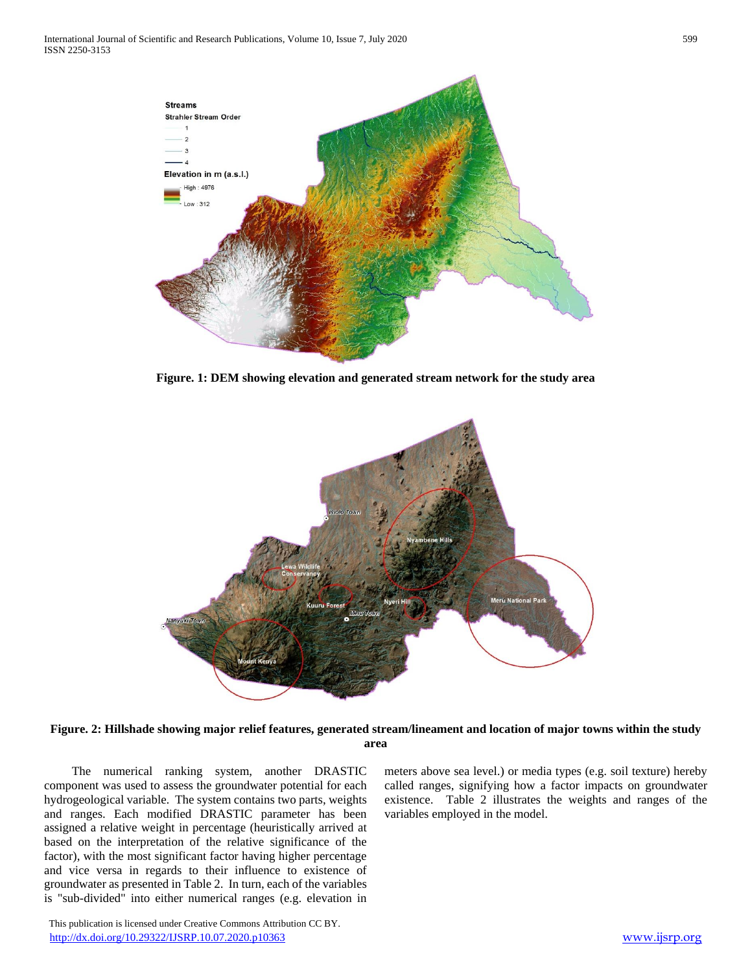

**Figure. 1: DEM showing elevation and generated stream network for the study area**



**Figure. 2: Hillshade showing major relief features, generated stream/lineament and location of major towns within the study area**

 The numerical ranking system, another DRASTIC component was used to assess the groundwater potential for each hydrogeological variable. The system contains two parts, weights and ranges. Each modified DRASTIC parameter has been assigned a relative weight in percentage (heuristically arrived at based on the interpretation of the relative significance of the factor), with the most significant factor having higher percentage and vice versa in regards to their influence to existence of groundwater as presented in Table 2. In turn, each of the variables is "sub-divided" into either numerical ranges (e.g. elevation in

meters above sea level.) or media types (e.g. soil texture) hereby called ranges, signifying how a factor impacts on groundwater existence. Table 2 illustrates the weights and ranges of the variables employed in the model.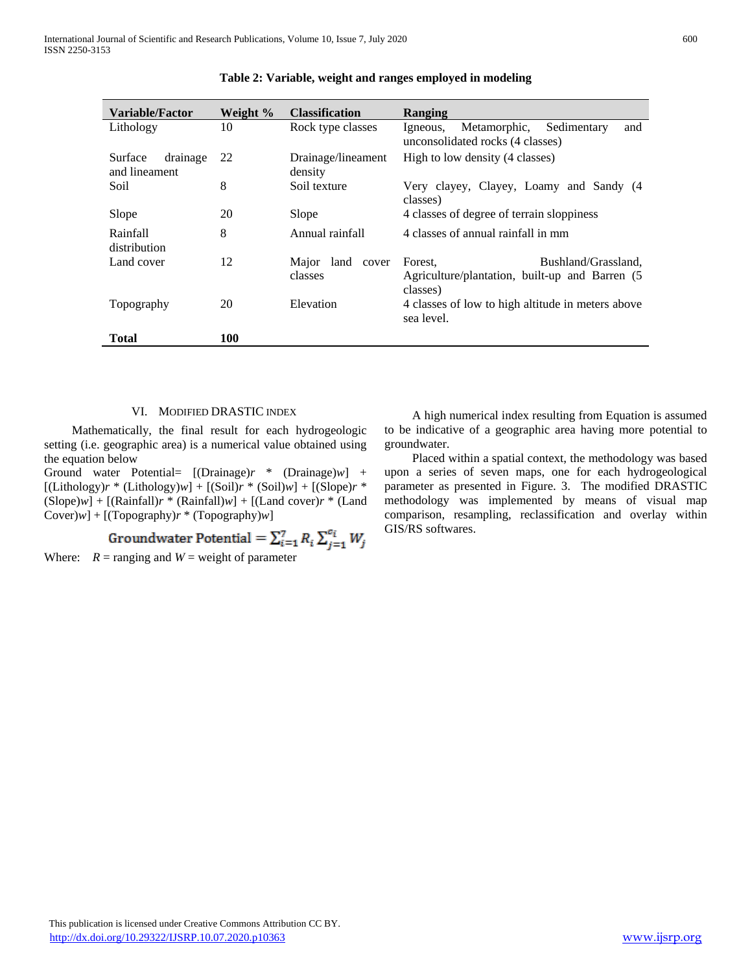| Variable/Factor                      | Weight % | <b>Classification</b>          | Ranging                                                                                      |  |  |
|--------------------------------------|----------|--------------------------------|----------------------------------------------------------------------------------------------|--|--|
| Lithology                            | 10       | Rock type classes              | Metamorphic,<br>Sedimentary<br>Igneous,<br>and<br>unconsolidated rocks (4 classes)           |  |  |
| Surface<br>drainage<br>and lineament | 22       | Drainage/lineament<br>density  | High to low density (4 classes)                                                              |  |  |
| Soil                                 | 8        | Soil texture                   | Very clayey, Clayey, Loamy and Sandy (4<br>classes)                                          |  |  |
| Slope                                | 20       | Slope                          | 4 classes of degree of terrain sloppiness                                                    |  |  |
| Rainfall<br>distribution             | 8        | Annual rainfall                | 4 classes of annual rainfall in mm                                                           |  |  |
| Land cover                           | 12       | land cover<br>Major<br>classes | Bushland/Grassland,<br>Forest.<br>Agriculture/plantation, built-up and Barren (5<br>classes) |  |  |
| Topography                           | 20       | Elevation                      | 4 classes of low to high altitude in meters above<br>sea level.                              |  |  |
| Total                                | 100      |                                |                                                                                              |  |  |

|  |  | Table 2: Variable, weight and ranges employed in modeling |
|--|--|-----------------------------------------------------------|
|  |  |                                                           |

#### VI. MODIFIED DRASTIC INDEX

 Mathematically, the final result for each hydrogeologic setting (i.e. geographic area) is a numerical value obtained using the equation below

Ground water Potential= [(Drainage)*r* \* (Drainage)*w*] +  $[(\text{Lithology})r * (\text{Lithology})w] + [(\text{Soil})r * (\text{Soil})w] + [(\text{Slope})r *$  $(Slope)w$  +  $[(Rainfall)r * (Rainfall)w]$  +  $[(Land cover)r * (Land)$ Cover)*w*] + [(Topography)*r* \* (Topography)*w*]

Where:  $R = \text{ranging}$  and  $W = \text{weight}$  of parameter

 A high numerical index resulting from Equation is assumed to be indicative of a geographic area having more potential to groundwater.

 Placed within a spatial context, the methodology was based upon a series of seven maps, one for each hydrogeological parameter as presented in Figure. 3. The modified DRASTIC methodology was implemented by means of visual map comparison, resampling, reclassification and overlay within GIS/RS softwares.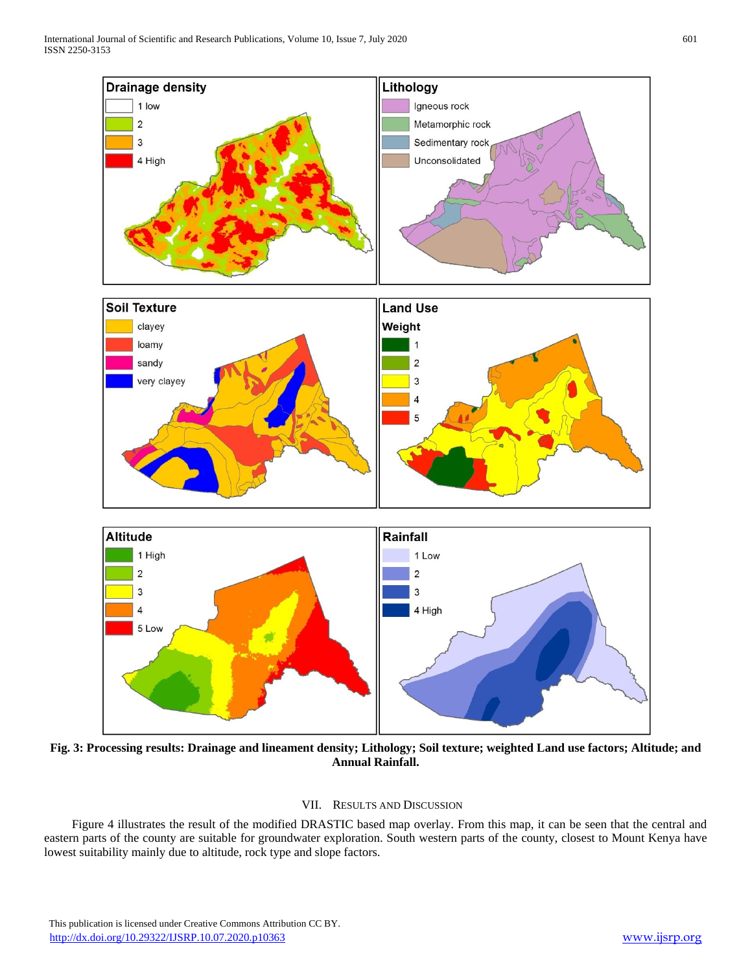

**Fig. 3: Processing results: Drainage and lineament density; Lithology; Soil texture; weighted Land use factors; Altitude; and Annual Rainfall.**

### VII. RESULTS AND DISCUSSION

 Figure 4 illustrates the result of the modified DRASTIC based map overlay. From this map, it can be seen that the central and eastern parts of the county are suitable for groundwater exploration. South western parts of the county, closest to Mount Kenya have lowest suitability mainly due to altitude, rock type and slope factors.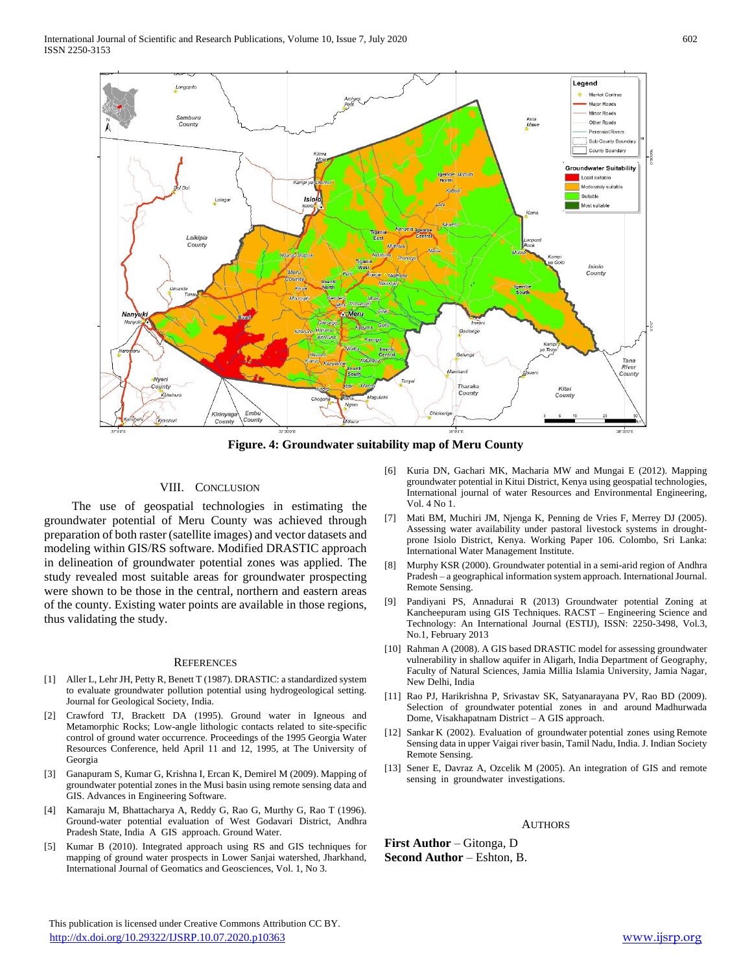

**Figure. 4: Groundwater suitability map of Meru County**

#### VIII. CONCLUSION

 The use of geospatial technologies in estimating the groundwater potential of Meru County was achieved through preparation of both raster (satellite images) and vector datasets and modeling within GIS/RS software. Modified DRASTIC approach in delineation of groundwater potential zones was applied. The study revealed most suitable areas for groundwater prospecting were shown to be those in the central, northern and eastern areas of the county. Existing water points are available in those regions, thus validating the study.

#### **REFERENCES**

- [1] Aller L, Lehr JH, Petty R, Benett T (1987). DRASTIC: a standardized system to evaluate groundwater pollution potential using hydrogeological setting. Journal for Geological Society, India.
- [2] Crawford TJ, Brackett DA (1995). Ground water in Igneous and Metamorphic Rocks; Low-angle lithologic contacts related to site-specific control of ground water occurrence. Proceedings of the 1995 Georgia Water Resources Conference, held April 11 and 12, 1995, at The University of Georgia
- [3] Ganapuram S, Kumar G, Krishna I, Ercan K, Demirel M (2009). Mapping of groundwater potential zones in the Musi basin using remote sensing data and GIS. Advances in Engineering Software.
- [4] Kamaraju M, Bhattacharya A, Reddy G, Rao G, Murthy G, Rao T (1996). Ground-water potential evaluation of West Godavari District, Andhra Pradesh State, India A GIS approach. Ground Water.
- [5] Kumar B (2010). Integrated approach using RS and GIS techniques for mapping of ground water prospects in Lower Sanjai watershed, Jharkhand, International Journal of Geomatics and Geosciences, Vol. 1, No 3.
- [6] Kuria DN, Gachari MK, Macharia MW and Mungai E (2012). Mapping groundwater potential in Kitui District, Kenya using geospatial technologies, International journal of water Resources and Environmental Engineering, Vol. 4 No 1.
- [7] Mati BM, Muchiri JM, Njenga K, Penning de Vries F, Merrey DJ (2005). Assessing water availability under pastoral livestock systems in droughtprone Isiolo District, Kenya. Working Paper 106. Colombo, Sri Lanka: International Water Management Institute.
- [8] Murphy KSR (2000). Groundwater potential in a semi-arid region of Andhra Pradesh – a geographical information system approach. International Journal. Remote Sensing.
- [9] Pandiyani PS, Annadurai R (2013) Groundwater potential Zoning at Kancheepuram using GIS Techniques. RACST – Engineering Science and Technology: An International Journal (ESTIJ), ISSN: 2250-3498, Vol.3, No.1, February 2013
- [10] Rahman A (2008). A GIS based DRASTIC model for assessing groundwater vulnerability in shallow aquifer in Aligarh, India Department of Geography, Faculty of Natural Sciences, Jamia Millia Islamia University, Jamia Nagar, New Delhi, India
- [11] Rao PJ, Harikrishna P, Srivastav SK, Satyanarayana PV, Rao BD (2009). Selection of groundwater potential zones in and around Madhurwada Dome, Visakhapatnam District – A GIS approach.
- [12] Sankar K (2002). Evaluation of groundwater potential zones using Remote Sensing data in upper Vaigai river basin, Tamil Nadu, India. J. Indian Society Remote Sensing.
- [13] Sener E, Davraz A, Ozcelik M (2005). An integration of GIS and remote sensing in groundwater investigations.

AUTHORS **First Author** – Gitonga, D

**Second Author** – Eshton, B.